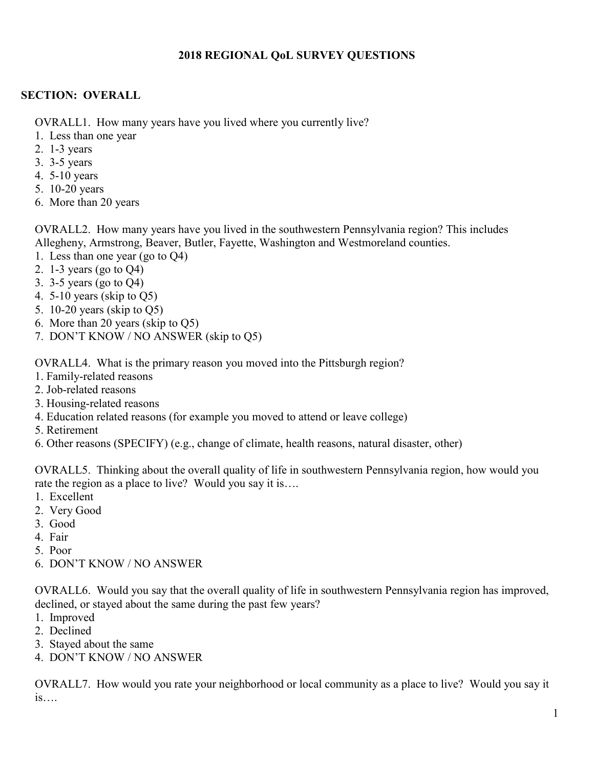#### **2018 REGIONAL QoL SURVEY QUESTIONS**

#### **SECTION: OVERALL**

OVRALL1. How many years have you lived where you currently live?

- 1. Less than one year
- 2. 1-3 years
- 3. 3-5 years
- 4. 5-10 years
- 5. 10-20 years
- 6. More than 20 years

OVRALL2. How many years have you lived in the southwestern Pennsylvania region? This includes Allegheny, Armstrong, Beaver, Butler, Fayette, Washington and Westmoreland counties.

- 1. Less than one year (go to Q4)
- 2. 1-3 years (go to Q4)
- 3. 3-5 years (go to Q4)
- 4. 5-10 years (skip to Q5)
- 5. 10-20 years (skip to Q5)
- 6. More than 20 years (skip to Q5)
- 7. DON'T KNOW / NO ANSWER (skip to Q5)

OVRALL4. What is the primary reason you moved into the Pittsburgh region?

- 1. Family-related reasons
- 2. Job-related reasons
- 3. Housing-related reasons
- 4. Education related reasons (for example you moved to attend or leave college)
- 5. Retirement
- 6. Other reasons (SPECIFY) (e.g., change of climate, health reasons, natural disaster, other)

OVRALL5. Thinking about the overall quality of life in southwestern Pennsylvania region, how would you rate the region as a place to live? Would you say it is….

- 1. Excellent
- 2. Very Good
- 3. Good
- 4. Fair
- 5. Poor
- 6. DON'T KNOW / NO ANSWER

OVRALL6. Would you say that the overall quality of life in southwestern Pennsylvania region has improved, declined, or stayed about the same during the past few years?

- 1. Improved
- 2. Declined
- 3. Stayed about the same
- 4. DON'T KNOW / NO ANSWER

OVRALL7. How would you rate your neighborhood or local community as a place to live? Would you say it is….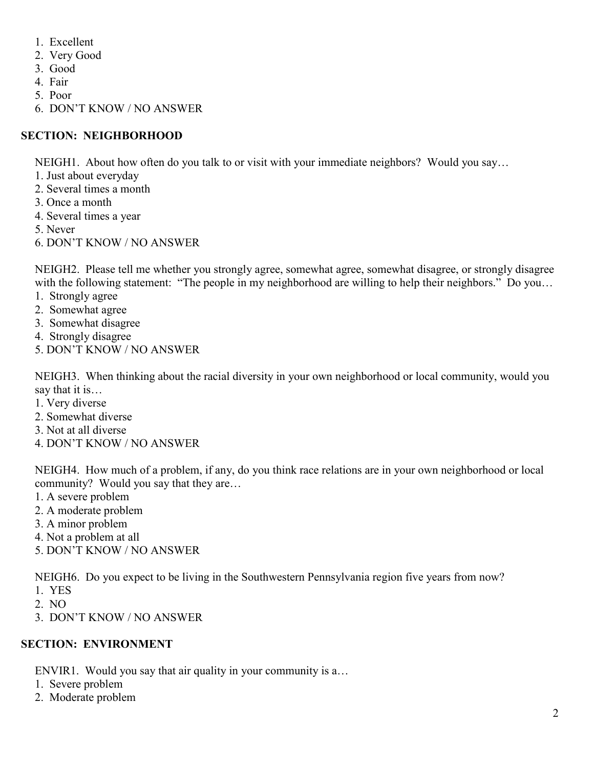- 1. Excellent
- 2. Very Good
- 3. Good
- 4. Fair
- 5. Poor
- 6. DON'T KNOW / NO ANSWER

# **SECTION: NEIGHBORHOOD**

NEIGH1. About how often do you talk to or visit with your immediate neighbors? Would you say…

- 1. Just about everyday
- 2. Several times a month
- 3. Once a month
- 4. Several times a year
- 5. Never
- 6. DON'T KNOW / NO ANSWER

NEIGH2. Please tell me whether you strongly agree, somewhat agree, somewhat disagree, or strongly disagree with the following statement: "The people in my neighborhood are willing to help their neighbors." Do you...

- 1. Strongly agree
- 2. Somewhat agree
- 3. Somewhat disagree
- 4. Strongly disagree
- 5. DON'T KNOW / NO ANSWER

NEIGH3. When thinking about the racial diversity in your own neighborhood or local community, would you say that it is…

- 1. Very diverse
- 2. Somewhat diverse
- 3. Not at all diverse
- 4. DON'T KNOW / NO ANSWER

NEIGH4. How much of a problem, if any, do you think race relations are in your own neighborhood or local community? Would you say that they are…

- 1. A severe problem
- 2. A moderate problem
- 3. A minor problem
- 4. Not a problem at all
- 5. DON'T KNOW / NO ANSWER

NEIGH6. Do you expect to be living in the Southwestern Pennsylvania region five years from now?

- 1. YES
- 2. NO
- 3. DON'T KNOW / NO ANSWER

## **SECTION: ENVIRONMENT**

ENVIR1. Would you say that air quality in your community is a…

- 1. Severe problem
- 2. Moderate problem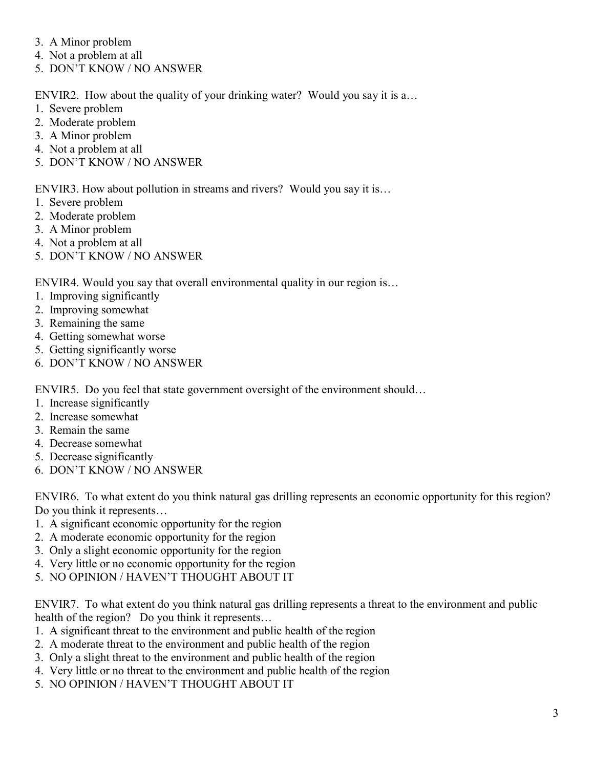- 3. A Minor problem
- 4. Not a problem at all
- 5. DON'T KNOW / NO ANSWER

ENVIR2. How about the quality of your drinking water? Would you say it is a…

- 1. Severe problem
- 2. Moderate problem
- 3. A Minor problem
- 4. Not a problem at all
- 5. DON'T KNOW / NO ANSWER

ENVIR3. How about pollution in streams and rivers? Would you say it is…

- 1. Severe problem
- 2. Moderate problem
- 3. A Minor problem
- 4. Not a problem at all
- 5. DON'T KNOW / NO ANSWER

ENVIR4. Would you say that overall environmental quality in our region is…

- 1. Improving significantly
- 2. Improving somewhat
- 3. Remaining the same
- 4. Getting somewhat worse
- 5. Getting significantly worse
- 6. DON'T KNOW / NO ANSWER

ENVIR5. Do you feel that state government oversight of the environment should…

- 1. Increase significantly
- 2. Increase somewhat
- 3. Remain the same
- 4. Decrease somewhat
- 5. Decrease significantly
- 6. DON'T KNOW / NO ANSWER

ENVIR6. To what extent do you think natural gas drilling represents an economic opportunity for this region? Do you think it represents…

- 1. A significant economic opportunity for the region
- 2. A moderate economic opportunity for the region
- 3. Only a slight economic opportunity for the region
- 4. Very little or no economic opportunity for the region
- 5. NO OPINION / HAVEN'T THOUGHT ABOUT IT

ENVIR7. To what extent do you think natural gas drilling represents a threat to the environment and public health of the region? Do you think it represents...

- 1. A significant threat to the environment and public health of the region
- 2. A moderate threat to the environment and public health of the region
- 3. Only a slight threat to the environment and public health of the region
- 4. Very little or no threat to the environment and public health of the region
- 5. NO OPINION / HAVEN'T THOUGHT ABOUT IT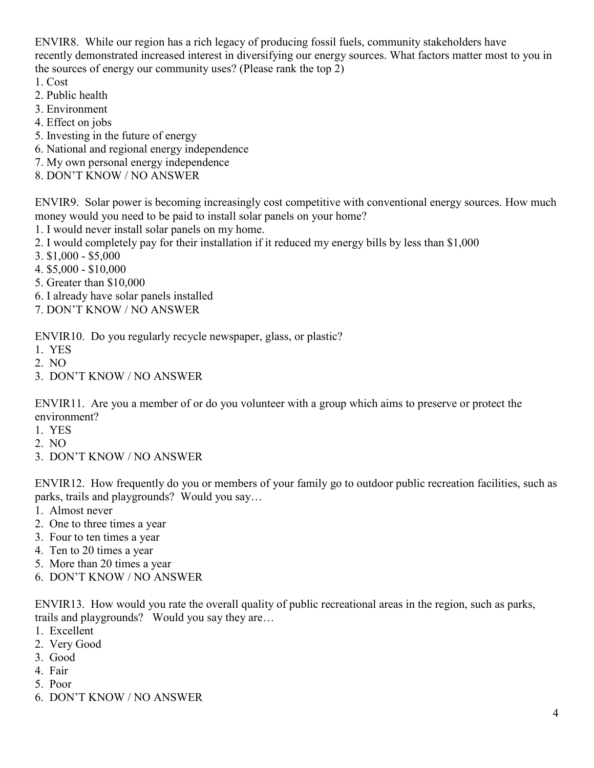ENVIR8. While our region has a rich legacy of producing fossil fuels, community stakeholders have recently demonstrated increased interest in diversifying our energy sources. What factors matter most to you in the sources of energy our community uses? (Please rank the top 2)

- 1. Cost
- 2. Public health
- 3. Environment
- 4. Effect on jobs
- 5. Investing in the future of energy
- 6. National and regional energy independence
- 7. My own personal energy independence
- 8. DON'T KNOW / NO ANSWER

ENVIR9. Solar power is becoming increasingly cost competitive with conventional energy sources. How much money would you need to be paid to install solar panels on your home?

- 1. I would never install solar panels on my home.
- 2. I would completely pay for their installation if it reduced my energy bills by less than \$1,000
- 3. \$1,000 \$5,000
- 4. \$5,000 \$10,000
- 5. Greater than \$10,000
- 6. I already have solar panels installed
- 7. DON'T KNOW / NO ANSWER

ENVIR10. Do you regularly recycle newspaper, glass, or plastic?

- 1. YES
- 2. NO
- 3. DON'T KNOW / NO ANSWER

ENVIR11. Are you a member of or do you volunteer with a group which aims to preserve or protect the environment?

- 1. YES
- 2. NO
- 3. DON'T KNOW / NO ANSWER

ENVIR12. How frequently do you or members of your family go to outdoor public recreation facilities, such as parks, trails and playgrounds? Would you say…

- 1. Almost never
- 2. One to three times a year
- 3. Four to ten times a year
- 4. Ten to 20 times a year
- 5. More than 20 times a year
- 6. DON'T KNOW / NO ANSWER

ENVIR13. How would you rate the overall quality of public recreational areas in the region, such as parks, trails and playgrounds? Would you say they are…

- 1. Excellent
- 2. Very Good
- 3. Good
- 4. Fair
- 5. Poor
- 6. DON'T KNOW / NO ANSWER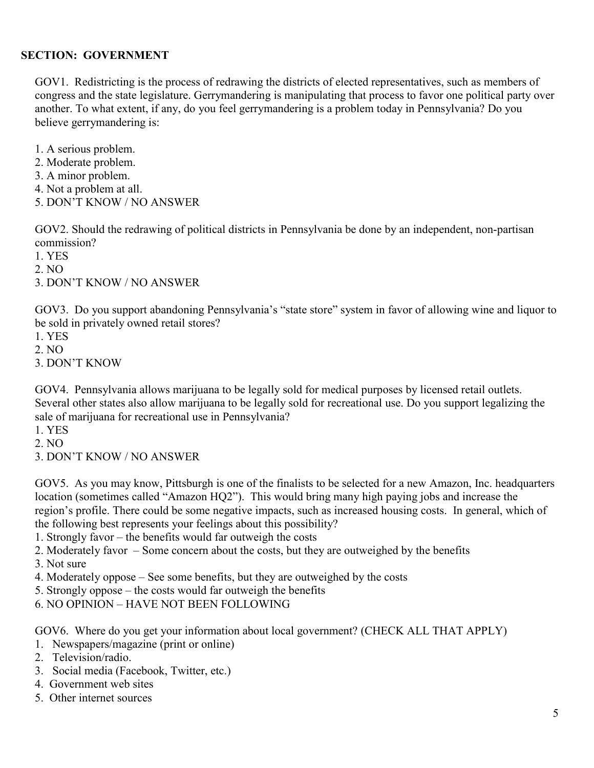#### **SECTION: GOVERNMENT**

GOV1. Redistricting is the process of redrawing the districts of elected representatives, such as members of congress and the state legislature. Gerrymandering is manipulating that process to favor one political party over another. To what extent, if any, do you feel gerrymandering is a problem today in Pennsylvania? Do you believe gerrymandering is:

- 1. A serious problem.
- 2. Moderate problem.
- 3. A minor problem.
- 4. Not a problem at all.
- 5. DON'T KNOW / NO ANSWER

GOV2. Should the redrawing of political districts in Pennsylvania be done by an independent, non-partisan commission?

- 1. YES
- 2. NO
- 3. DON'T KNOW / NO ANSWER

GOV3. Do you support abandoning Pennsylvania's "state store" system in favor of allowing wine and liquor to be sold in privately owned retail stores?

- 1. YES
- 2. NO
- 3. DON'T KNOW

GOV4. Pennsylvania allows marijuana to be legally sold for medical purposes by licensed retail outlets. Several other states also allow marijuana to be legally sold for recreational use. Do you support legalizing the sale of marijuana for recreational use in Pennsylvania?

- 1. YES
- 2. NO
- 3. DON'T KNOW / NO ANSWER

GOV5. As you may know, Pittsburgh is one of the finalists to be selected for a new Amazon, Inc. headquarters location (sometimes called "Amazon HQ2"). This would bring many high paying jobs and increase the region's profile. There could be some negative impacts, such as increased housing costs. In general, which of the following best represents your feelings about this possibility?

- 1. Strongly favor the benefits would far outweigh the costs
- 2. Moderately favor Some concern about the costs, but they are outweighed by the benefits
- 3. Not sure
- 4. Moderately oppose See some benefits, but they are outweighed by the costs
- 5. Strongly oppose the costs would far outweigh the benefits
- 6. NO OPINION HAVE NOT BEEN FOLLOWING

GOV6. Where do you get your information about local government? (CHECK ALL THAT APPLY)

- 1. Newspapers/magazine (print or online)
- 2. Television/radio.
- 3. Social media (Facebook, Twitter, etc.)
- 4. Government web sites
- 5. Other internet sources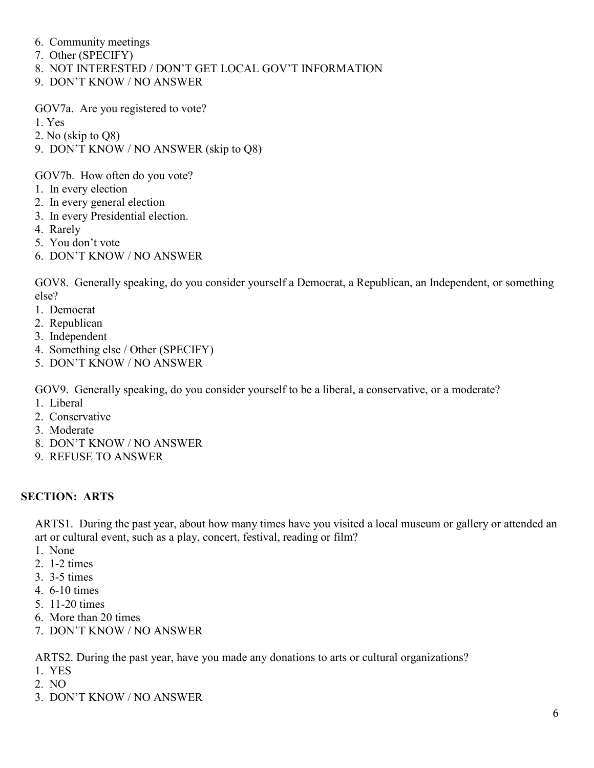- 6. Community meetings
- 7. Other (SPECIFY)
- 8. NOT INTERESTED / DON'T GET LOCAL GOV'T INFORMATION
- 9. DON'T KNOW / NO ANSWER

GOV7a. Are you registered to vote?

- 1. Yes
- 2. No (skip to Q8)
- 9. DON'T KNOW / NO ANSWER (skip to Q8)

GOV7b. How often do you vote?

- 1. In every election
- 2. In every general election
- 3. In every Presidential election.
- 4. Rarely
- 5. You don't vote
- 6. DON'T KNOW / NO ANSWER

GOV8. Generally speaking, do you consider yourself a Democrat, a Republican, an Independent, or something else?

- 1. Democrat
- 2. Republican
- 3. Independent
- 4. Something else / Other (SPECIFY)
- 5. DON'T KNOW / NO ANSWER

GOV9. Generally speaking, do you consider yourself to be a liberal, a conservative, or a moderate?

- 1. Liberal
- 2. Conservative
- 3. Moderate
- 8. DON'T KNOW / NO ANSWER
- 9. REFUSE TO ANSWER

#### **SECTION: ARTS**

ARTS1. During the past year, about how many times have you visited a local museum or gallery or attended an art or cultural event, such as a play, concert, festival, reading or film?

- 1. None
- 2. 1-2 times
- 3. 3-5 times
- 4. 6-10 times
- 5. 11-20 times
- 6. More than 20 times
- 7. DON'T KNOW / NO ANSWER

ARTS2. During the past year, have you made any donations to arts or cultural organizations?

- 1. YES
- 2. NO
- 3. DON'T KNOW / NO ANSWER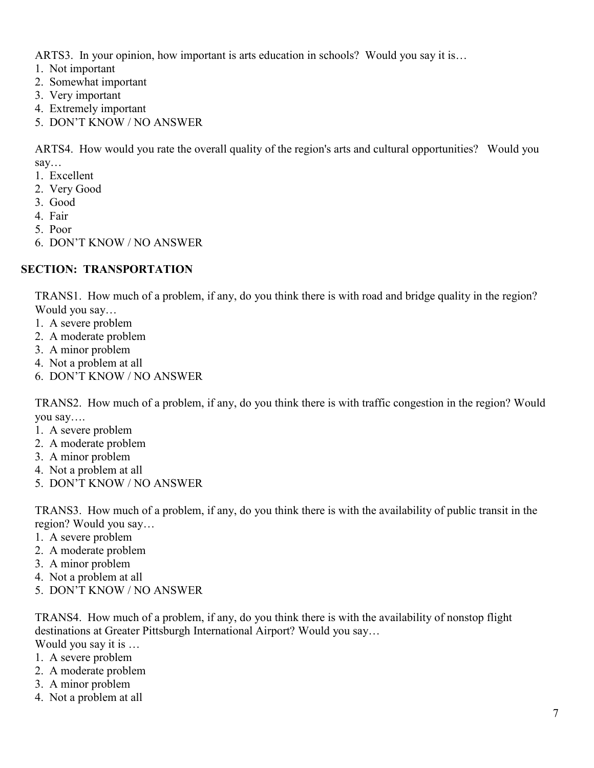ARTS3. In your opinion, how important is arts education in schools? Would you say it is…

- 1. Not important
- 2. Somewhat important
- 3. Very important
- 4. Extremely important
- 5. DON'T KNOW / NO ANSWER

ARTS4. How would you rate the overall quality of the region's arts and cultural opportunities? Would you say…

- 1. Excellent
- 2. Very Good
- 3. Good
- 4. Fair
- 5. Poor
- 6. DON'T KNOW / NO ANSWER

#### **SECTION: TRANSPORTATION**

TRANS1. How much of a problem, if any, do you think there is with road and bridge quality in the region? Would you say…

- 1. A severe problem
- 2. A moderate problem
- 3. A minor problem
- 4. Not a problem at all
- 6. DON'T KNOW / NO ANSWER

TRANS2. How much of a problem, if any, do you think there is with traffic congestion in the region? Would you say….

- 1. A severe problem
- 2. A moderate problem
- 3. A minor problem
- 4. Not a problem at all
- 5. DON'T KNOW / NO ANSWER

TRANS3. How much of a problem, if any, do you think there is with the availability of public transit in the region? Would you say…

- 1. A severe problem
- 2. A moderate problem
- 3. A minor problem
- 4. Not a problem at all
- 5. DON'T KNOW / NO ANSWER

TRANS4. How much of a problem, if any, do you think there is with the availability of nonstop flight destinations at Greater Pittsburgh International Airport? Would you say…

Would you say it is …

- 1. A severe problem
- 2. A moderate problem
- 3. A minor problem
- 4. Not a problem at all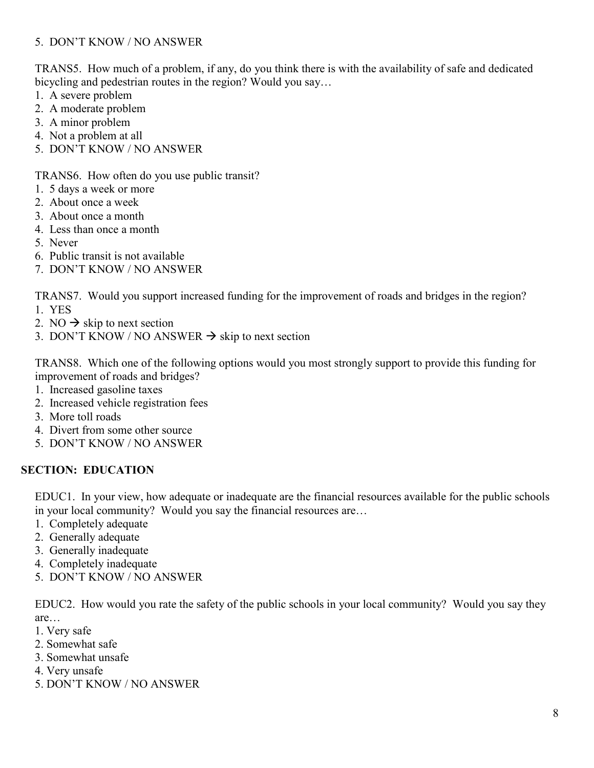#### 5. DON'T KNOW / NO ANSWER

TRANS5. How much of a problem, if any, do you think there is with the availability of safe and dedicated bicycling and pedestrian routes in the region? Would you say...

- 1. A severe problem
- 2. A moderate problem
- 3. A minor problem
- 4. Not a problem at all
- 5. DON'T KNOW / NO ANSWER

TRANS6. How often do you use public transit?

- 1. 5 days a week or more
- 2. About once a week
- 3. About once a month
- 4. Less than once a month
- 5. Never
- 6. Public transit is not available
- 7. DON'T KNOW / NO ANSWER

TRANS7. Would you support increased funding for the improvement of roads and bridges in the region?

- 1. YES
- 2. NO  $\rightarrow$  skip to next section
- 3. DON'T KNOW / NO ANSWER  $\rightarrow$  skip to next section

TRANS8. Which one of the following options would you most strongly support to provide this funding for improvement of roads and bridges?

- 1. Increased gasoline taxes
- 2. Increased vehicle registration fees
- 3. More toll roads
- 4. Divert from some other source
- 5. DON'T KNOW / NO ANSWER

## **SECTION: EDUCATION**

EDUC1. In your view, how adequate or inadequate are the financial resources available for the public schools in your local community? Would you say the financial resources are…

- 1. Completely adequate
- 2. Generally adequate
- 3. Generally inadequate
- 4. Completely inadequate
- 5. DON'T KNOW / NO ANSWER

EDUC2. How would you rate the safety of the public schools in your local community? Would you say they are…

- 1. Very safe
- 2. Somewhat safe
- 3. Somewhat unsafe
- 4. Very unsafe
- 5. DON'T KNOW / NO ANSWER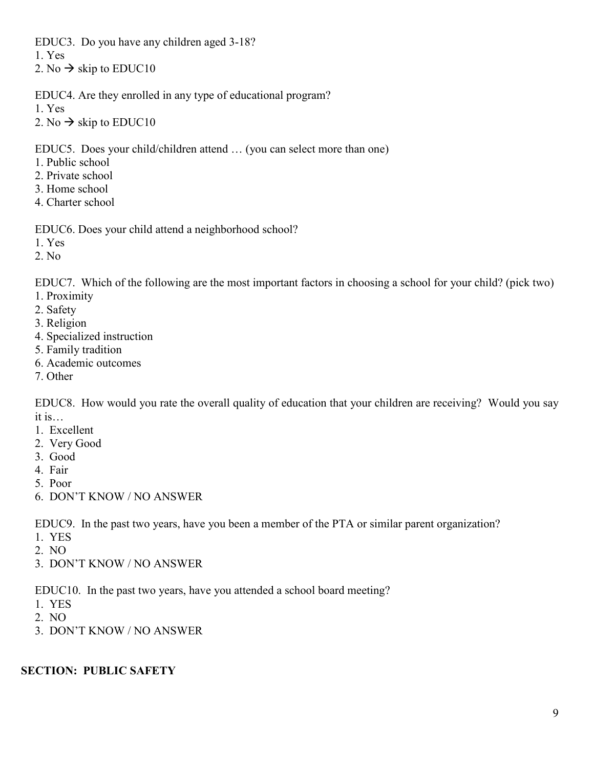EDUC3. Do you have any children aged 3-18?

1. Yes

2. No  $\rightarrow$  skip to EDUC10

EDUC4. Are they enrolled in any type of educational program?

1. Yes

2. No  $\rightarrow$  skip to EDUC10

EDUC5. Does your child/children attend … (you can select more than one)

- 1. Public school
- 2. Private school
- 3. Home school
- 4. Charter school

EDUC6. Does your child attend a neighborhood school?

1. Yes

2. No

EDUC7. Which of the following are the most important factors in choosing a school for your child? (pick two)

- 1. Proximity
- 2. Safety
- 3. Religion
- 4. Specialized instruction
- 5. Family tradition
- 6. Academic outcomes
- 7. Other

EDUC8. How would you rate the overall quality of education that your children are receiving? Would you say it is…

- 1. Excellent
- 2. Very Good
- 3. Good
- 4. Fair
- 5. Poor
- 6. DON'T KNOW / NO ANSWER

EDUC9. In the past two years, have you been a member of the PTA or similar parent organization?

- 1. YES
- 2. NO
- 3. DON'T KNOW / NO ANSWER

EDUC10. In the past two years, have you attended a school board meeting?

- 1. YES
- 2. NO
- 3. DON'T KNOW / NO ANSWER

## **SECTION: PUBLIC SAFETY**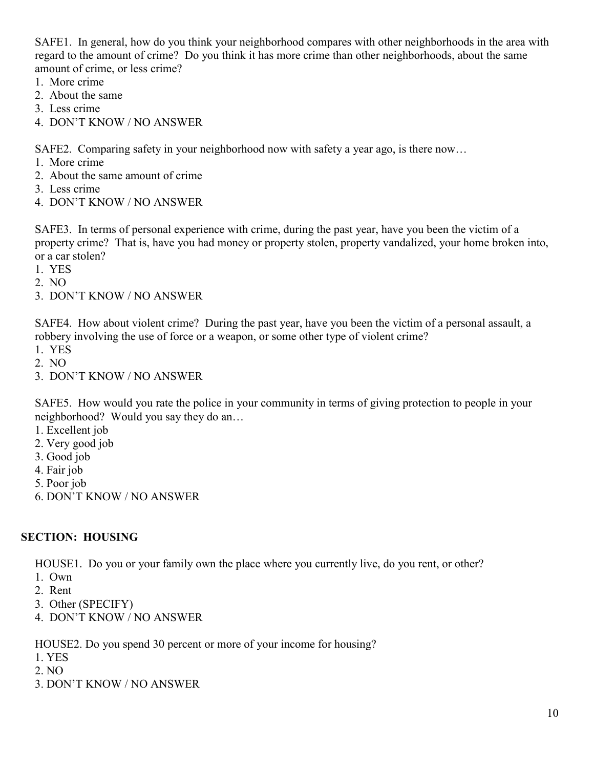SAFE1. In general, how do you think your neighborhood compares with other neighborhoods in the area with regard to the amount of crime? Do you think it has more crime than other neighborhoods, about the same amount of crime, or less crime?

- 1. More crime
- 2. About the same
- 3. Less crime
- 4. DON'T KNOW / NO ANSWER

SAFE2. Comparing safety in your neighborhood now with safety a year ago, is there now…

- 1. More crime
- 2. About the same amount of crime
- 3. Less crime
- 4. DON'T KNOW / NO ANSWER

SAFE3. In terms of personal experience with crime, during the past year, have you been the victim of a property crime? That is, have you had money or property stolen, property vandalized, your home broken into, or a car stolen?

- 1. YES
- 2. NO
- 3. DON'T KNOW / NO ANSWER

SAFE4. How about violent crime? During the past year, have you been the victim of a personal assault, a robbery involving the use of force or a weapon, or some other type of violent crime?

- 1. YES
- 2. NO
- 3. DON'T KNOW / NO ANSWER

SAFE5. How would you rate the police in your community in terms of giving protection to people in your neighborhood? Would you say they do an…

- 1. Excellent job
- 2. Very good job
- 3. Good job
- 4. Fair job
- 5. Poor job
- 6. DON'T KNOW / NO ANSWER

## **SECTION: HOUSING**

HOUSE1. Do you or your family own the place where you currently live, do you rent, or other?

- 1. Own
- 2. Rent
- 3. Other (SPECIFY)
- 4. DON'T KNOW / NO ANSWER

HOUSE2. Do you spend 30 percent or more of your income for housing?

- 1. YES
- 2. NO
- 3. DON'T KNOW / NO ANSWER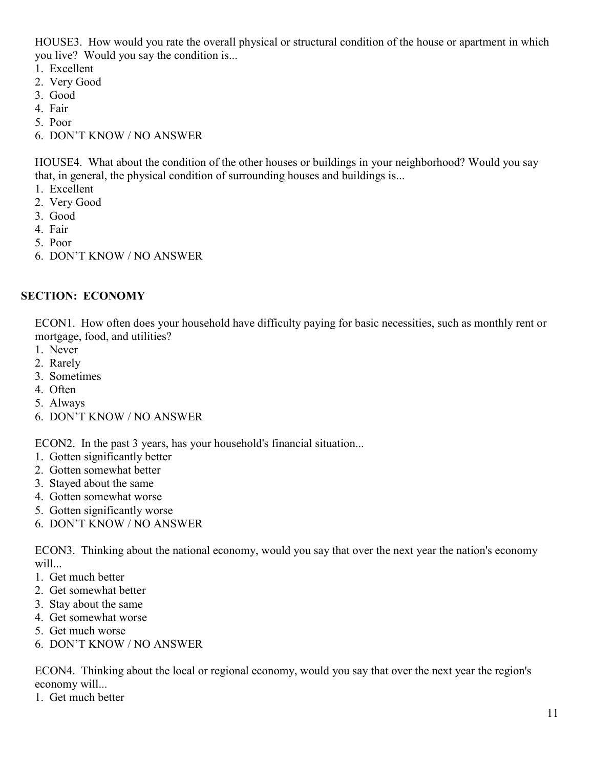HOUSE3. How would you rate the overall physical or structural condition of the house or apartment in which you live? Would you say the condition is...

- 1. Excellent
- 2. Very Good
- 3. Good
- 4. Fair
- 5. Poor
- 6. DON'T KNOW / NO ANSWER

HOUSE4. What about the condition of the other houses or buildings in your neighborhood? Would you say that, in general, the physical condition of surrounding houses and buildings is...

- 1. Excellent
- 2. Very Good
- 3. Good
- 4. Fair
- 5. Poor
- 6. DON'T KNOW / NO ANSWER

#### **SECTION: ECONOMY**

ECON1. How often does your household have difficulty paying for basic necessities, such as monthly rent or mortgage, food, and utilities?

- 1. Never
- 2. Rarely
- 3. Sometimes
- 4. Often
- 5. Always
- 6. DON'T KNOW / NO ANSWER

ECON2. In the past 3 years, has your household's financial situation...

- 1. Gotten significantly better
- 2. Gotten somewhat better
- 3. Stayed about the same
- 4. Gotten somewhat worse
- 5. Gotten significantly worse
- 6. DON'T KNOW / NO ANSWER

ECON3. Thinking about the national economy, would you say that over the next year the nation's economy will...

- 1. Get much better
- 2. Get somewhat better
- 3. Stay about the same
- 4. Get somewhat worse
- 5. Get much worse
- 6. DON'T KNOW / NO ANSWER

ECON4. Thinking about the local or regional economy, would you say that over the next year the region's economy will...

1. Get much better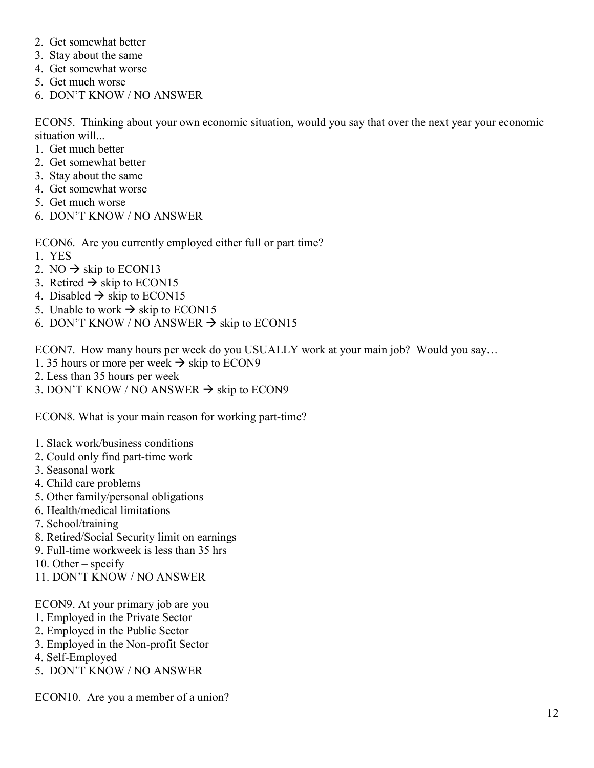- 2. Get somewhat better
- 3. Stay about the same
- 4. Get somewhat worse
- 5. Get much worse
- 6. DON'T KNOW / NO ANSWER

ECON5. Thinking about your own economic situation, would you say that over the next year your economic situation will...

- 1. Get much better
- 2. Get somewhat better
- 3. Stay about the same
- 4. Get somewhat worse
- 5. Get much worse
- 6. DON'T KNOW / NO ANSWER

ECON6. Are you currently employed either full or part time?

- 1. YES
- 2. NO  $\rightarrow$  skip to ECON13
- 3. Retired  $\rightarrow$  skip to ECON15
- 4. Disabled  $\rightarrow$  skip to ECON15
- 5. Unable to work  $\rightarrow$  skip to ECON15
- 6. DON'T KNOW / NO ANSWER  $\rightarrow$  skip to ECON15

ECON7. How many hours per week do you USUALLY work at your main job? Would you say…

- 1. 35 hours or more per week  $\rightarrow$  skip to ECON9
- 2. Less than 35 hours per week
- 3. DON'T KNOW / NO ANSWER  $\rightarrow$  skip to ECON9

ECON8. What is your main reason for working part-time?

- 1. Slack work/business conditions
- 2. Could only find part-time work
- 3. Seasonal work
- 4. Child care problems
- 5. Other family/personal obligations
- 6. Health/medical limitations
- 7. School/training
- 8. Retired/Social Security limit on earnings
- 9. Full-time workweek is less than 35 hrs
- 10. Other specify
- 11. DON'T KNOW / NO ANSWER

ECON9. At your primary job are you

- 1. Employed in the Private Sector
- 2. Employed in the Public Sector
- 3. Employed in the Non-profit Sector
- 4. Self-Employed
- 5. DON'T KNOW / NO ANSWER

ECON10. Are you a member of a union?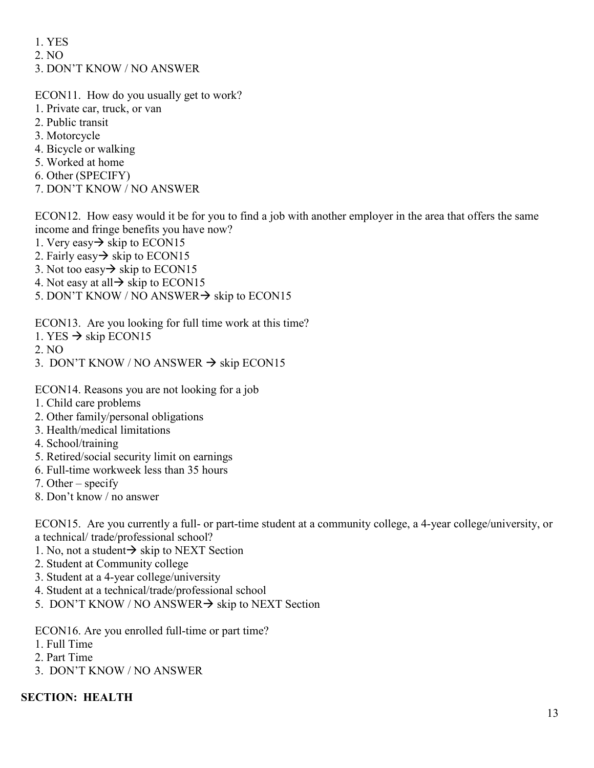- 1. YES
- 2. NO
- 3. DON'T KNOW / NO ANSWER

ECON11. How do you usually get to work?

- 1. Private car, truck, or van
- 2. Public transit
- 3. Motorcycle
- 4. Bicycle or walking
- 5. Worked at home
- 6. Other (SPECIFY)
- 7. DON'T KNOW / NO ANSWER

ECON12. How easy would it be for you to find a job with another employer in the area that offers the same income and fringe benefits you have now?

- 1. Very easy  $\rightarrow$  skip to ECON15
- 2. Fairly easy  $\rightarrow$  skip to ECON15
- 3. Not too easy  $\rightarrow$  skip to ECON15
- 4. Not easy at all  $\rightarrow$  skip to ECON15
- 5. DON'T KNOW / NO ANSWER $\rightarrow$  skip to ECON15

ECON13. Are you looking for full time work at this time?

- 1. YES  $\rightarrow$  skip ECON15
- 2. NO
- 3. DON'T KNOW / NO ANSWER  $\rightarrow$  skip ECON15

ECON14. Reasons you are not looking for a job

- 1. Child care problems
- 2. Other family/personal obligations
- 3. Health/medical limitations
- 4. School/training
- 5. Retired/social security limit on earnings
- 6. Full-time workweek less than 35 hours
- 7. Other specify
- 8. Don't know / no answer

ECON15. Are you currently a full- or part-time student at a community college, a 4-year college/university, or a technical/ trade/professional school?

- 1. No, not a student  $\rightarrow$  skip to NEXT Section
- 2. Student at Community college
- 3. Student at a 4-year college/university
- 4. Student at a technical/trade/professional school
- 5. DON'T KNOW / NO ANSWER $\rightarrow$  skip to NEXT Section

ECON16. Are you enrolled full-time or part time?

- 1. Full Time
- 2. Part Time
- 3. DON'T KNOW / NO ANSWER

## **SECTION: HEALTH**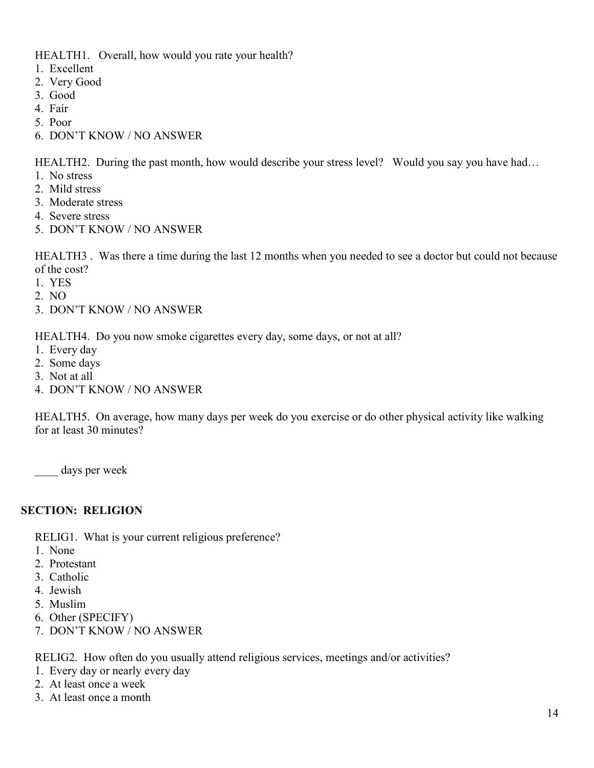HEALTH1. Overall, how would you rate your health?

- 1. Excellent
- 2. Very Good
- 3. Good
- 4. Fair
- 5. Poor
- 6. DON'T KNOW / NO ANSWER

HEALTH2. During the past month, how would describe your stress level? Would you say you have had...

- 1. No stress
- 2. Mild stress
- 3. Moderate stress
- 4. Severe stress
- 5. DON'T KNOW / NO ANSWER

HEALTH3 . Was there a time during the last 12 months when you needed to see a doctor but could not because of the cost?

- 1. YES
- 2. NO
- 3. DON'T KNOW / NO ANSWER

HEALTH4. Do you now smoke cigarettes every day, some days, or not at all?

- 1. Every day
- 2. Some days
- 3. Not at all
- 4. DON'T KNOW / NO ANSWER

HEALTH5. On average, how many days per week do you exercise or do other physical activity like walking for at least 30 minutes?

days per week

## **SECTION: RELIGION**

RELIG1. What is your current religious preference?

- 1. None
- 2. Protestant
- 3. Catholic
- 4. Jewish
- 5. Muslim
- 6. Other (SPECIFY)
- 7. DON'T KNOW / NO ANSWER

RELIG2. How often do you usually attend religious services, meetings and/or activities?

- 1. Every day or nearly every day
- 2. At least once a week
- 3. At least once a month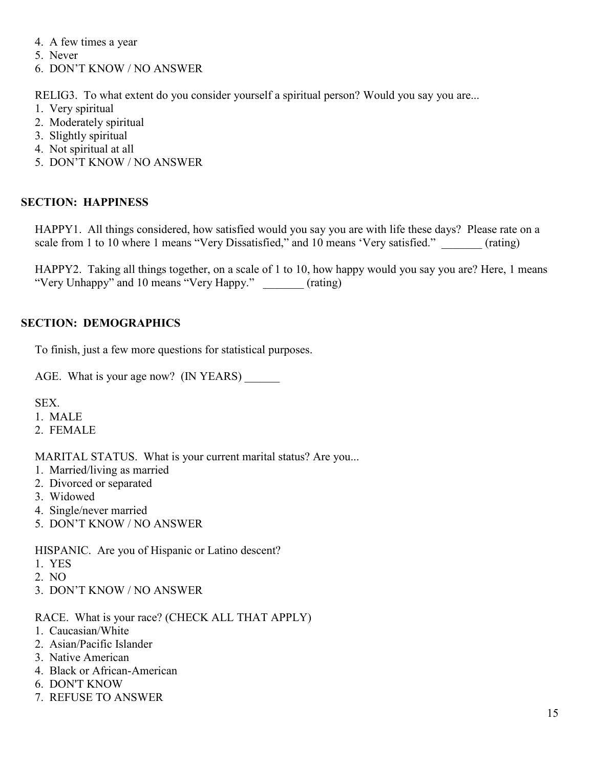- 4. A few times a year
- 5. Never
- 6. DON'T KNOW / NO ANSWER

RELIG3. To what extent do you consider yourself a spiritual person? Would you say you are...

- 1. Very spiritual
- 2. Moderately spiritual
- 3. Slightly spiritual
- 4. Not spiritual at all
- 5. DON'T KNOW / NO ANSWER

## **SECTION: HAPPINESS**

HAPPY1. All things considered, how satisfied would you say you are with life these days? Please rate on a scale from 1 to 10 where 1 means "Very Dissatisfied," and 10 means 'Very satisfied." (rating)

HAPPY2. Taking all things together, on a scale of 1 to 10, how happy would you say you are? Here, 1 means "Very Unhappy" and 10 means "Very Happy." \_\_\_\_\_\_\_ (rating)

## **SECTION: DEMOGRAPHICS**

To finish, just a few more questions for statistical purposes.

AGE. What is your age now? (IN YEARS)

SEX.

- 1. MALE
- 2. FEMALE

MARITAL STATUS. What is your current marital status? Are you...

- 1. Married/living as married
- 2. Divorced or separated
- 3. Widowed
- 4. Single/never married
- 5. DON'T KNOW / NO ANSWER

HISPANIC. Are you of Hispanic or Latino descent?

- 1. YES
- 2. NO
- 3. DON'T KNOW / NO ANSWER

RACE. What is your race? (CHECK ALL THAT APPLY)

- 1. Caucasian/White
- 2. Asian/Pacific Islander
- 3. Native American
- 4. Black or African-American
- 6. DON'T KNOW
- 7. REFUSE TO ANSWER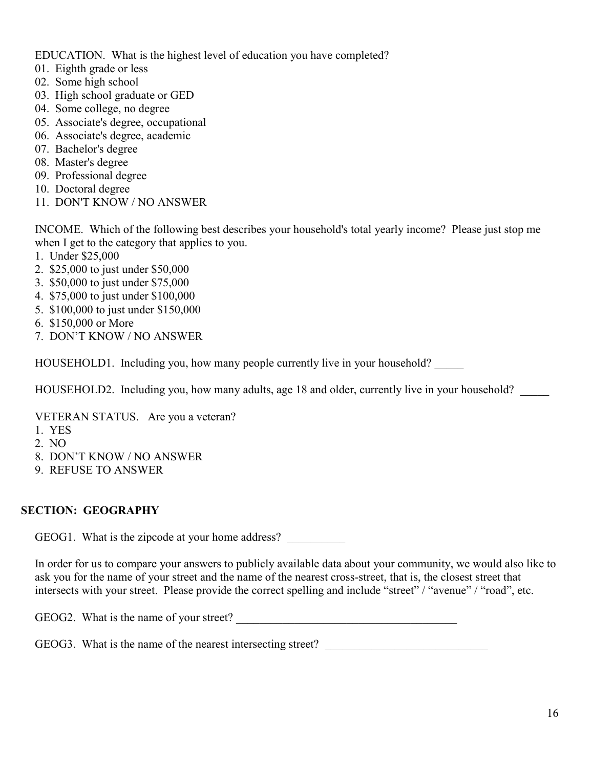EDUCATION. What is the highest level of education you have completed?

- 01. Eighth grade or less
- 02. Some high school
- 03. High school graduate or GED
- 04. Some college, no degree
- 05. Associate's degree, occupational
- 06. Associate's degree, academic
- 07. Bachelor's degree
- 08. Master's degree
- 09. Professional degree
- 10. Doctoral degree
- 11. DON'T KNOW / NO ANSWER

INCOME. Which of the following best describes your household's total yearly income? Please just stop me when I get to the category that applies to you.

- 1. Under \$25,000
- 2. \$25,000 to just under \$50,000
- 3. \$50,000 to just under \$75,000
- 4. \$75,000 to just under \$100,000
- 5. \$100,000 to just under \$150,000
- 6. \$150,000 or More
- 7. DON'T KNOW / NO ANSWER

HOUSEHOLD1. Including you, how many people currently live in your household?

HOUSEHOLD2. Including you, how many adults, age 18 and older, currently live in your household?

VETERAN STATUS. Are you a veteran?

- 1. YES
- 2. NO
- 8. DON'T KNOW / NO ANSWER
- 9. REFUSE TO ANSWER

## **SECTION: GEOGRAPHY**

GEOG1. What is the zipcode at your home address?

In order for us to compare your answers to publicly available data about your community, we would also like to ask you for the name of your street and the name of the nearest cross-street, that is, the closest street that intersects with your street. Please provide the correct spelling and include "street" / "avenue" / "road", etc.

GEOG2. What is the name of your street?

GEOG3. What is the name of the nearest intersecting street?